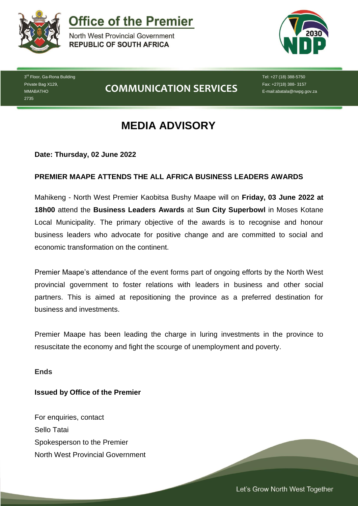

**Office of the Premier** 

North West Provincial Government **REPUBLIC OF SOUTH AFRICA** 



3<sup>rd</sup> Floor, Ga-Rona Building Private Bag X129, MMABATHO 2735

## **COMMUNICATION SERVICES**

Tel: +27 (18) 388-5750 Fax: +27(18) 388- 3157 E-mail:abatala@nwpg.gov.za

# **MEDIA ADVISORY**

**Date: Thursday, 02 June 2022**

## **PREMIER MAAPE ATTENDS THE ALL AFRICA BUSINESS LEADERS AWARDS**

Mahikeng - North West Premier Kaobitsa Bushy Maape will on **Friday, 03 June 2022 at 18h00** attend the **Business Leaders Awards** at **Sun City Superbowl** in Moses Kotane Local Municipality. The primary objective of the awards is to recognise and honour business leaders who advocate for positive change and are committed to social and economic transformation on the continent.

Premier Maape's attendance of the event forms part of ongoing efforts by the North West provincial government to foster relations with leaders in business and other social partners. This is aimed at repositioning the province as a preferred destination for business and investments.

Premier Maape has been leading the charge in luring investments in the province to resuscitate the economy and fight the scourge of unemployment and poverty.

*Let's Grow North West Together* 

#### **Ends**

### **Issued by Office of the Premier**

For enquiries, contact Sello Tatai Spokesperson to the Premier North West Provincial Government

Let's Grow North West Together